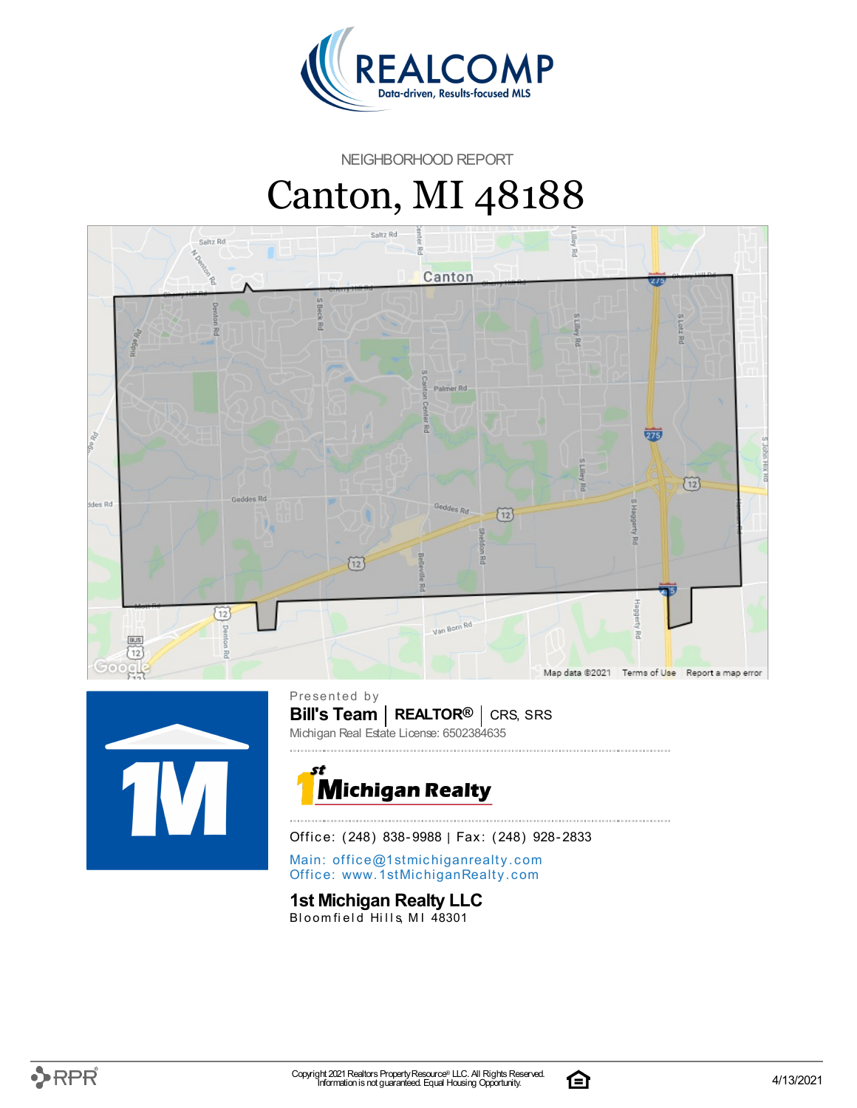

NEIGHBORHOOD REPORT

# Canton, MI 48188





**Bill's Team** | REALTOR<sup>®</sup> | CRS, SRS Presented by Michigan Real Estate License: 6502384635



Office: (248) 838-9988 | Fax: (248) 928-2833

Main: o[ffi](mailto:office@1stmichiganrealty.com)ce@1stmichiganrealty.com Office: [www.](https://www.1stmichiganrealty.com/)1stMichiganRealty.com

### **1st Michigan Realty LLC**

Bloomfield Hills, MI 48301

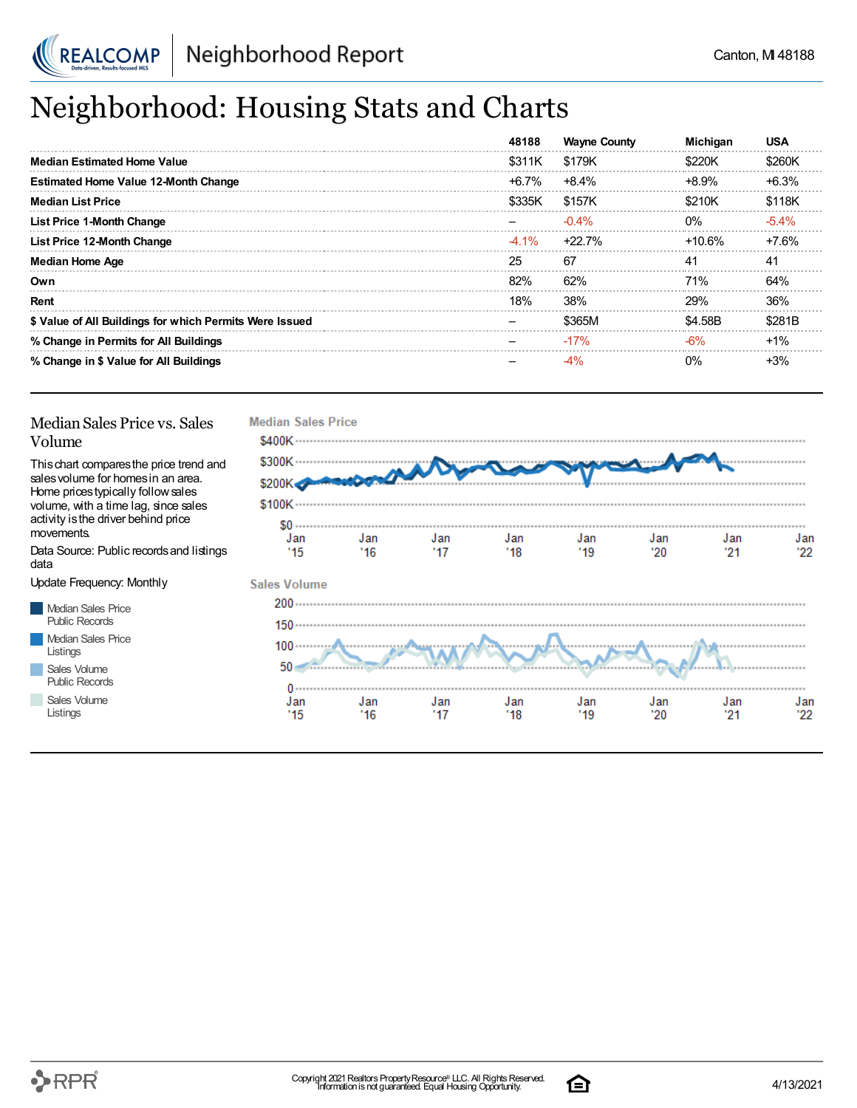

## Neighborhood: Housing Stats and Charts

|                                                         | 48188    | <b>Wayne County</b> | <b>Michigan</b> | <b>USA</b> |
|---------------------------------------------------------|----------|---------------------|-----------------|------------|
| <b>Median Estimated Home Value</b>                      | \$311K   | \$179K              | \$220K          | \$260K     |
| <b>Estimated Home Value 12-Month Change</b>             | +6.7%    | $+8.4%$             | +8.9%           | $+6.3%$    |
| <b>Median List Price</b>                                | \$335K   | \$157K              | \$210K          | \$118K     |
| <b>List Price 1-Month Change</b>                        |          | $-0.4%$             | $0\%$           | $-5.4\%$   |
| List Price 12-Month Change                              | $-4.1\%$ | +22.7%              | +10.6%          | $+7.6%$    |
| <b>Median Home Age</b>                                  | 25       | -67                 | 41              | 41         |
| Own                                                     | 82%      | 62%                 | <b>71%</b>      | 64%        |
| Rent                                                    | 18%      | 38%                 | 29%             | 36%        |
| \$ Value of All Buildings for which Permits Were Issued |          | \$365M              | \$4.58B         | \$281B     |
| % Change in Permits for All Buildings                   |          | $-17%$              | $-6%$           | $+1%$      |
| % Change in \$ Value for All Buildings                  |          |                     | $0\%$           | $+3%$      |

#### Median Sales Price vs. Sales Volume

Thischart comparesthe price trend and salesvolume for homesin an area. Home pricestypically followsales volume, with a time lag, since sales activity is the driver behind price movements.

Data Source: Public recordsand listings data

Update Frequency: Monthly

Median Sales Price Public Records Median Sales Price Listings Sales Volume

Public Records

Sales Volume Listings



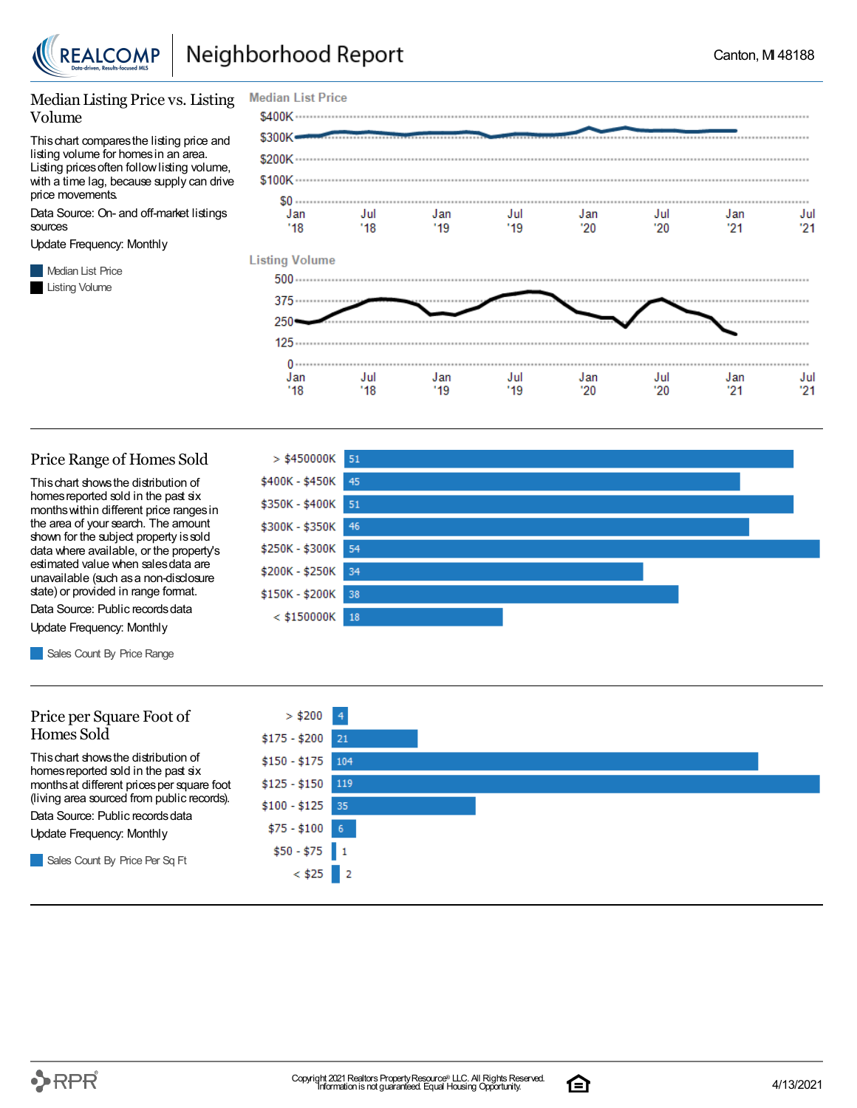

Jan

 $'18$ 

Jul

 $'18$ 

Jan

 $'19$ 

#### Median Listing Price vs. Listing Volume

Thischart comparesthe listing price and listing volume for homesin an area. Listing prices often follow listing volume, with a time lag, because supply can drive price movements.

Data Source: On- and off-market listings sources

Update Frequency: Monthly

**Median List Price** Listing Volume



Jul

 $'19$ 

#### Price Range of Homes Sold

Thischart showsthe distribution of homes reported sold in the past six monthswithin different price rangesin the area of your search. The amount shown for the subject property issold data where available, or the property's estimated value when salesdata are unavailable (such asa non-disclosure state) or provided in range format.

Data Source: Public records data Update Frequency: Monthly

Sales Count By Price Range

#### Price per Square Foot of Homes Sold

Thischart showsthe distribution of homes reported sold in the past six monthsat different pricesper square foot (living area sourced from public records).

Data Source: Public records data

Update Frequency: Monthly

Sales Count By Price Per Sq Ft



Jul

 $20^{\circ}$ 

Jan

 $21$ 

Jul

 $21$ 

Jan

'20



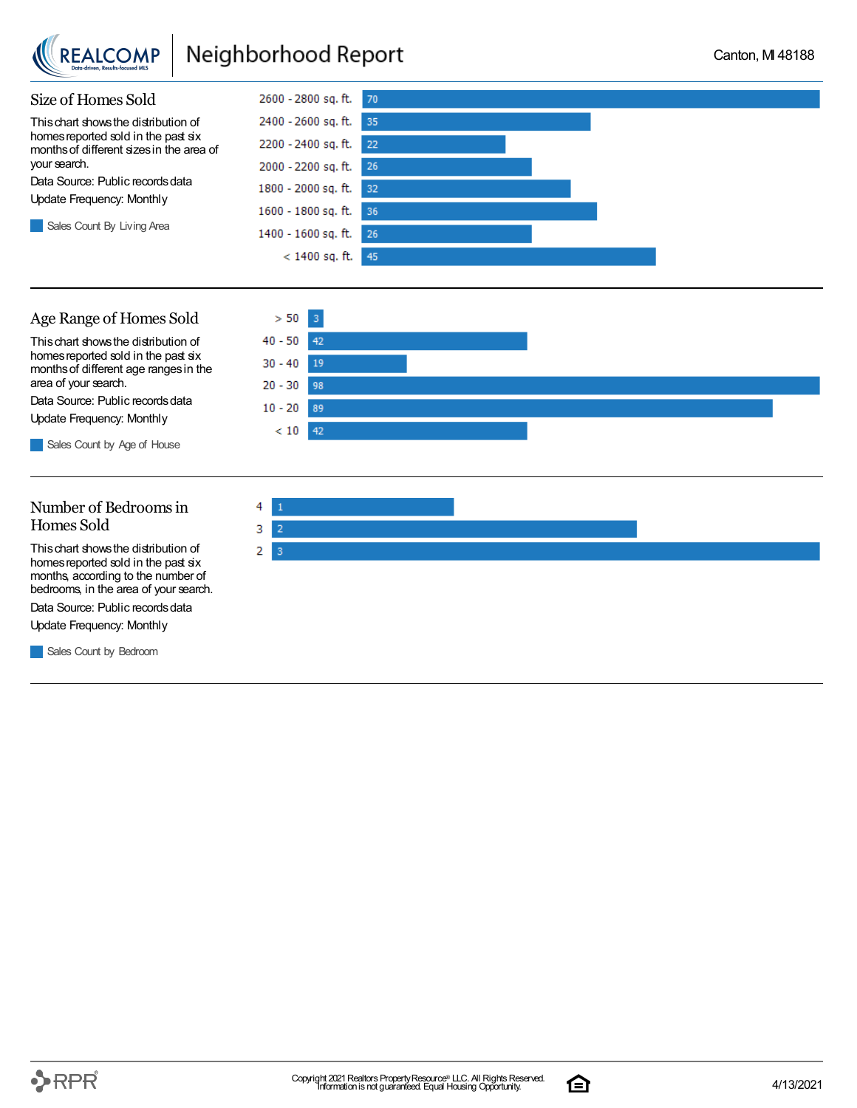

### Neighborhood Report

 $> 50$  $3<sup>°</sup>$ 

42

19

98

89  $< 10$  42

 $40 - 50$ 

 $30 - 40$ 

 $20 - 30$ 

 $10 - 20$ 



#### Age Range of Homes Sold

Thischart showsthe distribution of homes reported sold in the past six monthsof different age rangesin the area of your search.

Data Source: Public records data Update Frequency: Monthly

Sales Count by Age of House

### Number of Bedroomsin Homes Sold

Thischart showsthe distribution of homes reported sold in the past six months, according to the number of bedrooms, in the area of your search.

Data Source: Public records data

Update Frequency: Monthly

**Sales Count by Bedroom** 



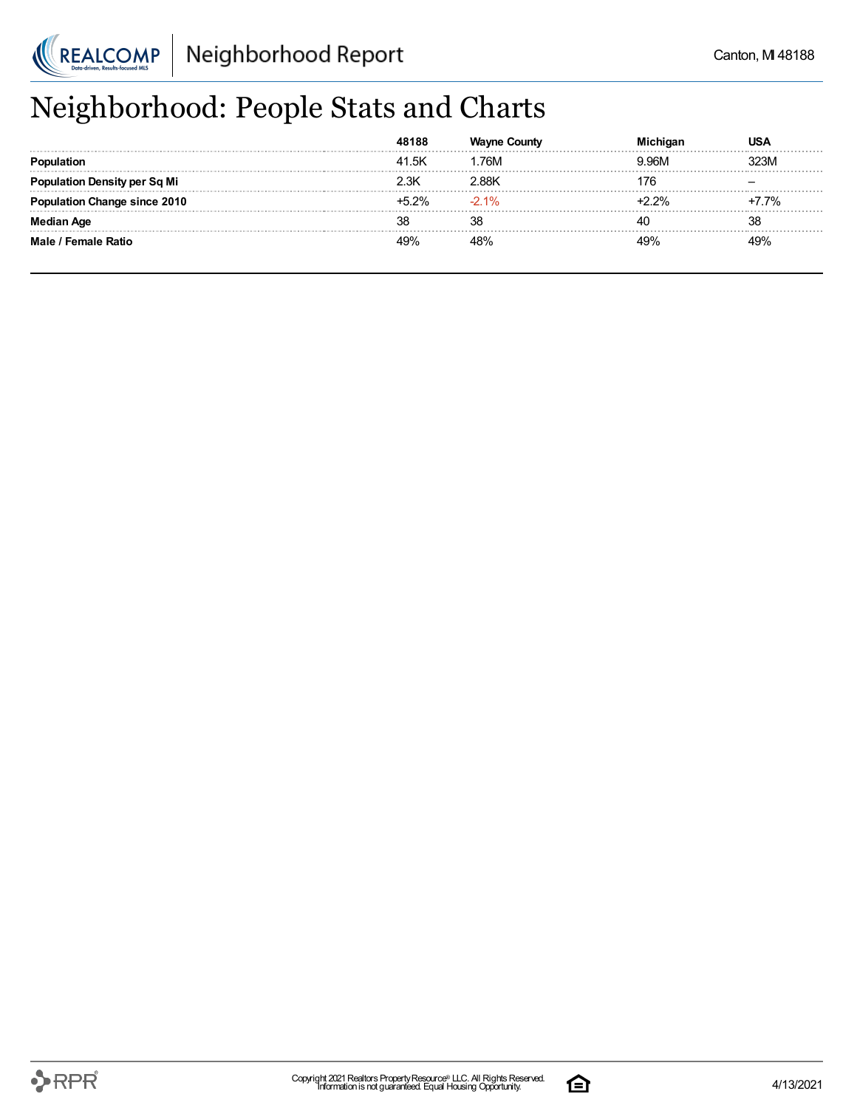

## Neighborhood: People Stats and Charts

|                               | 41.5K | 76M    | 9.96M   | <b>23M</b> |
|-------------------------------|-------|--------|---------|------------|
| tion Density per Sq Mi        | 2.3K  | 2.88K  | 76      |            |
| <b>tion Change since 2010</b> | +5.2% | $-21%$ | $2.2\%$ | $+7.7%$    |
| Aae                           | 38    | 38     |         | 38         |
| Male / Female Ratio           | 49%   | 48%    |         | 49%        |

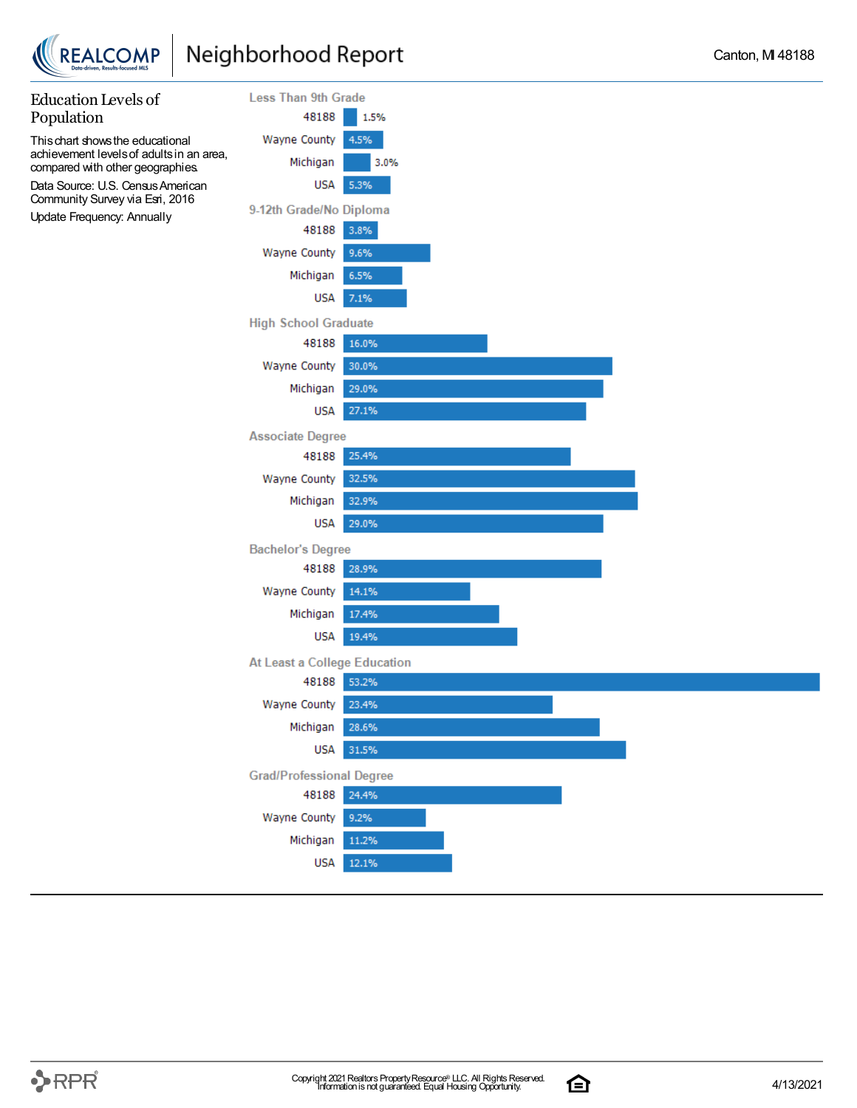



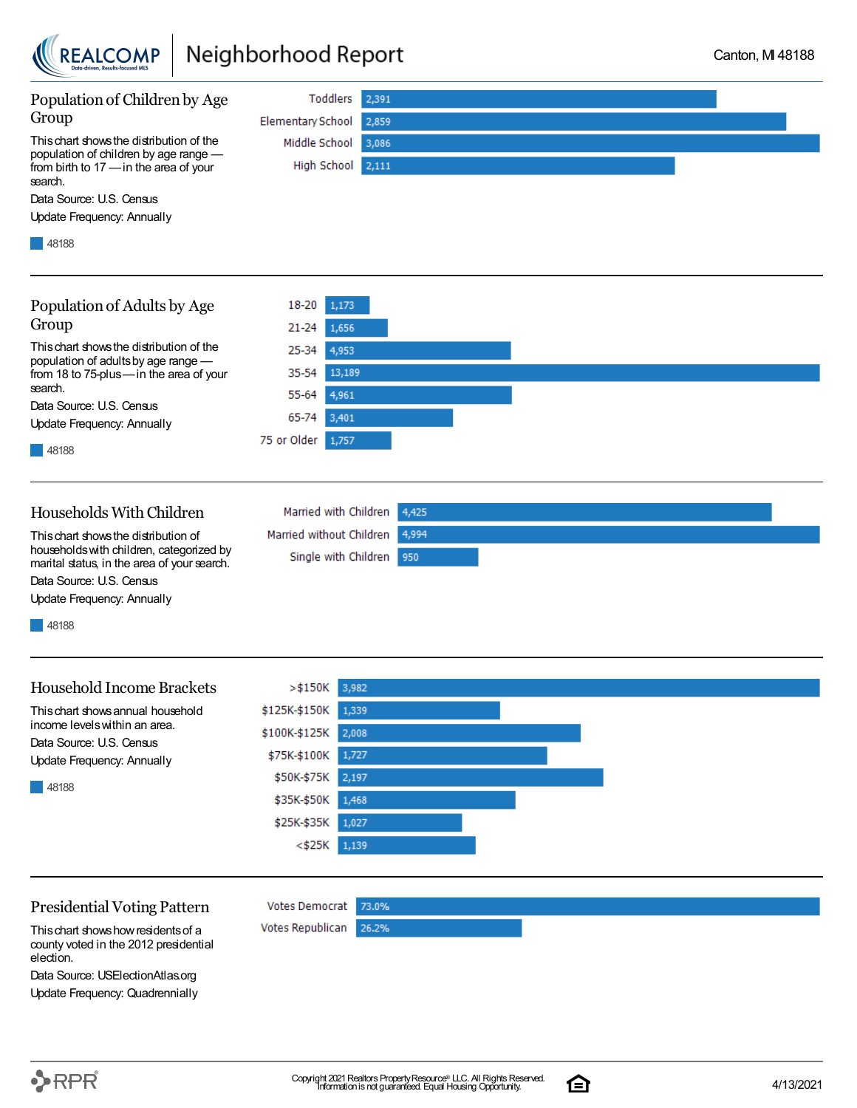

### Neighborhood Report



Data Source: U.S. Census

Update Frequency: Annually

48188

48188

### Household Income Brackets

Thischart showsannual household income levelswithin an area. Data Source: U.S. Census Update Frequency: Annually

 $>\$150K$ 3,982 \$125K-\$150K 1,339 \$100K-\$125K 2,008 \$75K-\$100K 1,727 \$50K-\$75K  $2,197$ \$35K-\$50K 1,468 \$25K-\$35K 1,027  $<$ \$25K 1,139

#### Presidential Voting Pattern

Thischart showshowresidentsof a county voted in the 2012 presidential election.

Data Source: USElectionAtlas.org Update Frequency: Quadrennially



**Votes Democrat** 

Votes Republican

73.0%

26.2%

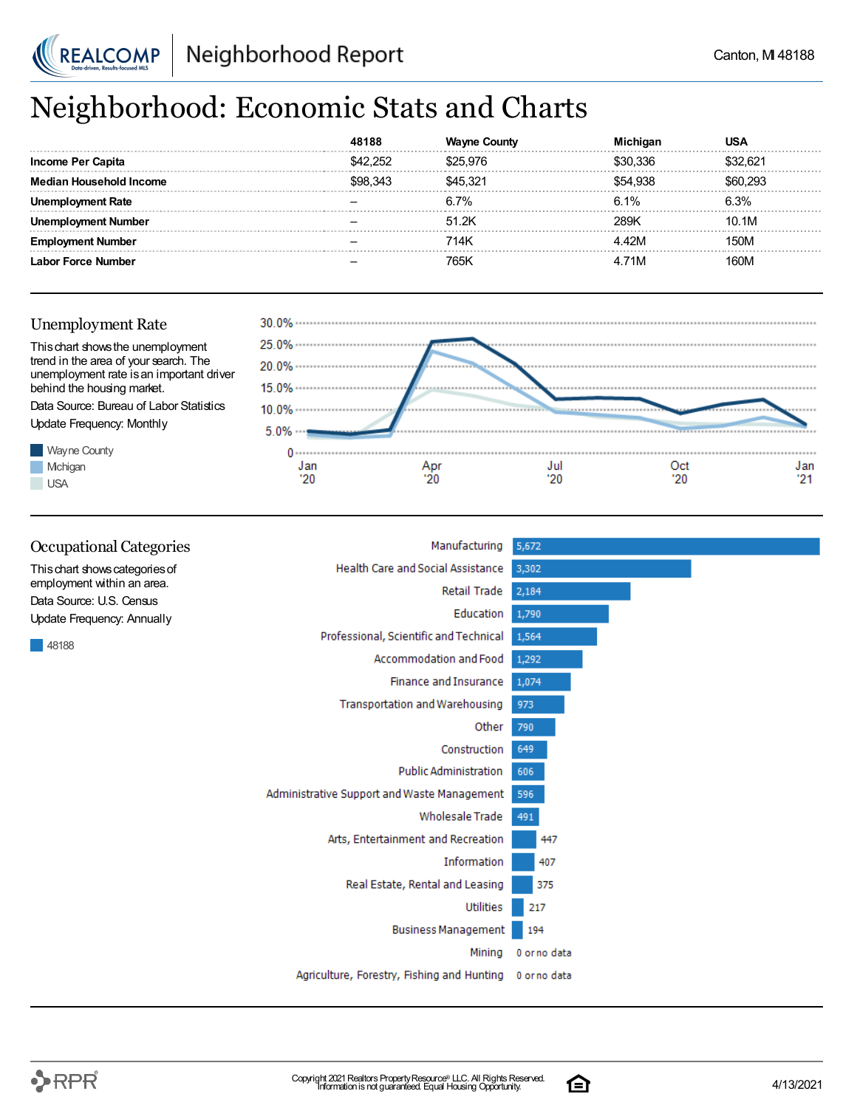

## Neighborhood: Economic Stats and Charts

|                     |     |         |        | JSA     |
|---------------------|-----|---------|--------|---------|
| Income Per Capita   |     | 525 97F | 336    | :32 R21 |
| n Household Income  | 34. | 45.321  | 54.938 | 293     |
| <b>Noyment Rate</b> |     | 6.7%    | 6.1%   | 6.3%    |
| Number              |     | 51.2K   | 289K   | 10.1M   |
| Number              |     | 714K    | '2M    | 150M    |
| Labor Force Number  |     | 765K    | 71M    | 160M    |



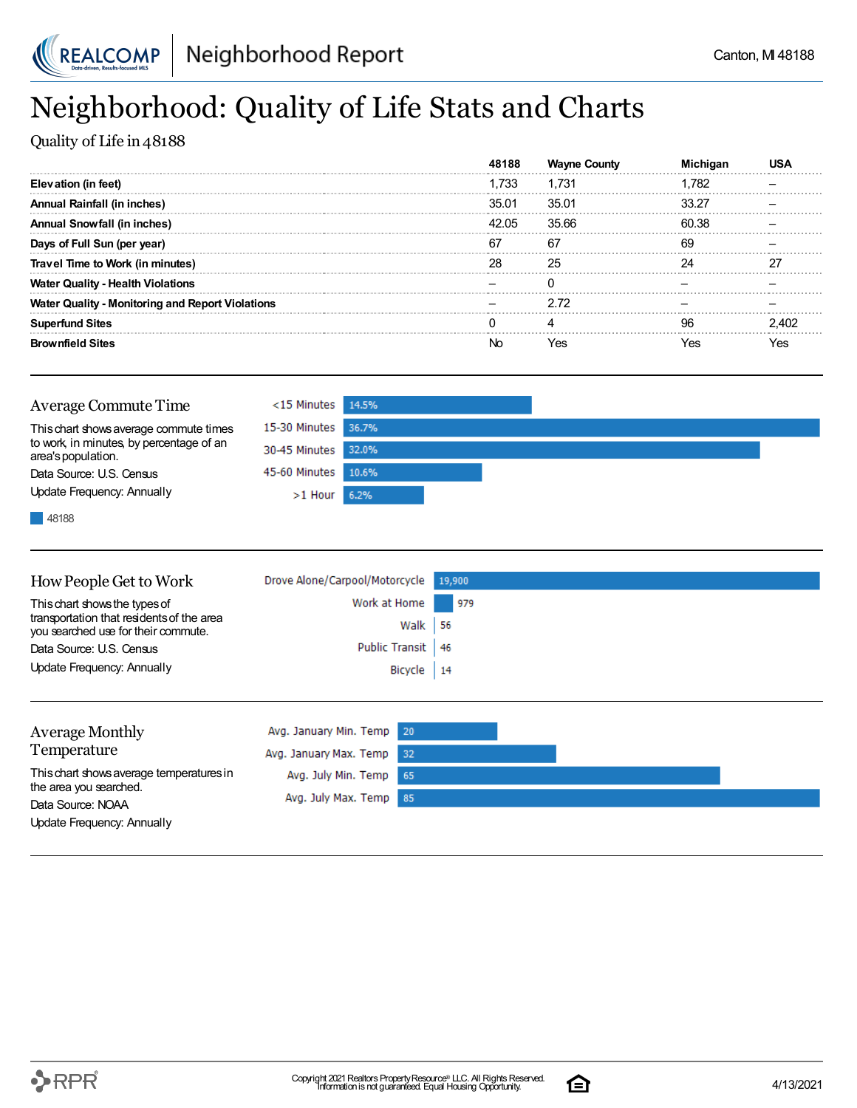

## Neighborhood: Quality of Life Stats and Charts

Quality of Life in 48188

|                                                         | 8188  | Wavne County |       |       |
|---------------------------------------------------------|-------|--------------|-------|-------|
| Elevation (in feet)                                     | 1.733 | 1.731        | l.782 |       |
| Annual Rainfall (in inches)                             | 35.01 | 35.01        | 33.27 |       |
| <b>Annual Snowfall (in inches)</b>                      | 42.05 | 35.66        | 60.38 |       |
| Days of Full Sun (per year)                             | 67    | 67           | 69    |       |
| Travel Time to Work (in minutes)                        | 28    | 25           | 24    | 77    |
| <b>Water Quality - Health Violations</b>                |       |              |       |       |
| <b>Water Quality - Monitoring and Report Violations</b> |       | 2.72         |       |       |
| <b>Superfund Sites</b>                                  |       |              | 96    | 2 AN2 |
| <b>Brownfield Sites</b>                                 |       | Yes          | res   | res   |

| Average Commute Time                                                                                     | $<$ 15 Minutes 14.5% |  |  |
|----------------------------------------------------------------------------------------------------------|----------------------|--|--|
| This chart shows average commute times<br>to work, in minutes, by percentage of an<br>area's population. | 15-30 Minutes 36.7%  |  |  |
|                                                                                                          | 30-45 Minutes 32.0%  |  |  |
| Data Source: U.S. Census                                                                                 | 45-60 Minutes 10.6%  |  |  |
| Update Frequency: Annually                                                                               | $>1$ Hour 6.2%       |  |  |
| the contract of the contract of the contract of the contract of                                          |                      |  |  |

48188

| How People Get to Work                                                           | Drove Alone/Carpool/Motorcycle 19,900 |     |
|----------------------------------------------------------------------------------|---------------------------------------|-----|
| This chart shows the types of                                                    | Work at Home                          | 979 |
| transportation that residents of the area<br>you searched use for their commute. | Walk $ 56$                            |     |
| Data Source: U.S. Census                                                         | Public Transit   46                   |     |
| Update Frequency: Annually                                                       | Bicycle 14                            |     |
|                                                                                  |                                       |     |

| <b>Average Monthly</b>                      | Avg. January Min. Temp 20 |  |  |
|---------------------------------------------|---------------------------|--|--|
| Temperature                                 | Avg. January Max. Temp 32 |  |  |
| This chart shows average temperatures in    | Avg. July Min. Temp 65    |  |  |
| the area you searched.<br>Data Source: NOAA | Avg. July Max. Temp 85    |  |  |
| Update Frequency: Annually                  |                           |  |  |

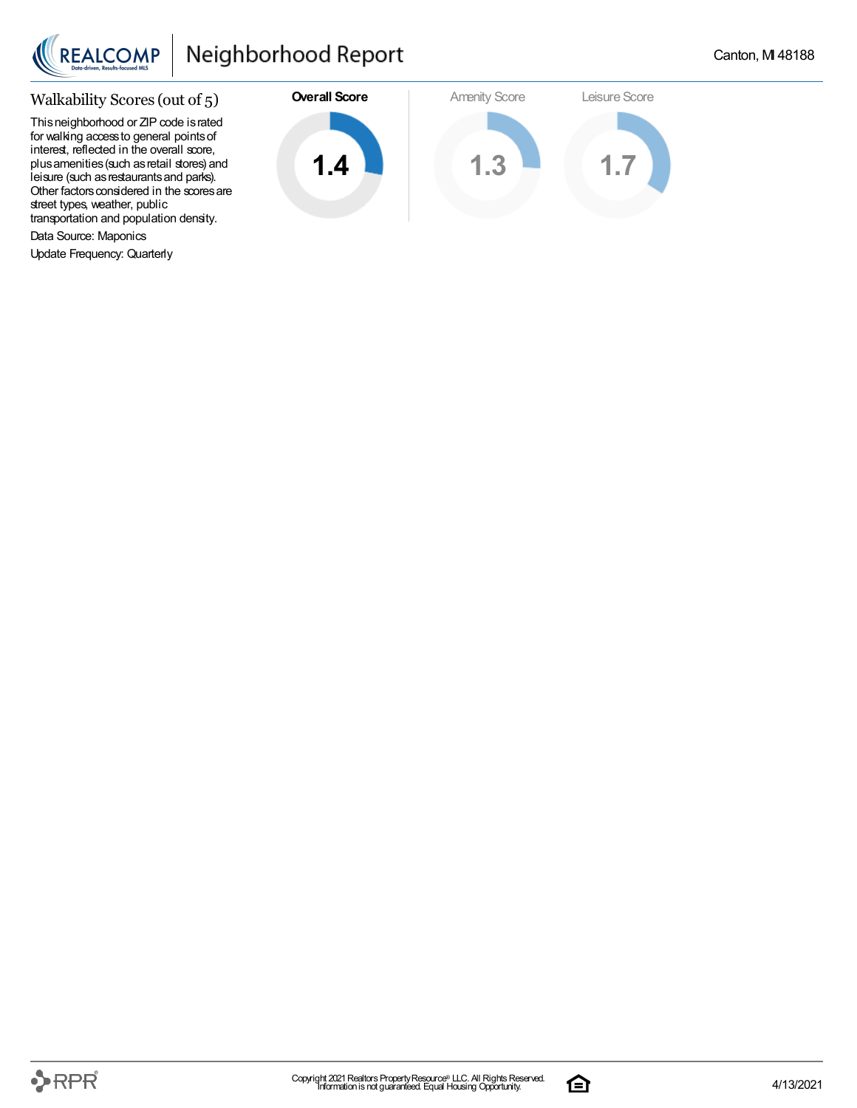

### Walkability Scores (out of 5)

This neighborhood or ZIP code is rated for walking accessto general pointsof interest, reflected in the overall score, plus amenities (such as retail stores) and leisure (such asrestaurantsand parks). Other factors considered in the scores are street types, weather, public transportation and population density.

Data Source: Maponics

Update Frequency: Quarterly